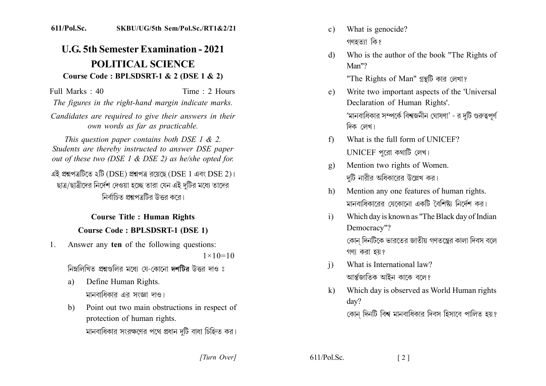## **U.G. 5th Semester Examination - 2021 POLITICAL SCIENCE** Course Code : BPLSDSRT-1 & 2 (DSE 1 & 2)

Full Marks  $\cdot$  40 Time  $\cdot$  2 Hours

The figures in the right-hand margin indicate marks.

Candidates are required to give their answers in their own words as far as practicable.

This question paper contains both DSE 1  $\&$  2. Students are thereby instructed to answer DSE paper out of these two (DSE  $1 \&$  DSE 2) as he/she opted for. এই প্রশ্নপত্রটিতে ২টি (DSE) প্রশ্নপত্র রয়েছে (DSE 1 এবং DSE 2)। ছাত্র/ছাত্রীদের নির্দেশ দেওয়া হচ্ছে তারা যেন এই দটির মধ্যে তাদের নিৰ্বাচিত প্ৰশ্বপত্ৰটিব উত্তৰ কৰে।

## **Course Title: Human Rights Course Code: BPLSDSRT-1 (DSE 1)**

Answer any ten of the following questions:  $1_{-}$ 

 $1 \times 10 = 10$ 

নিম্নলিখিত প্রশ্নগুলির মধ্যে যে-কোনো দশটির উত্তর দাও ঃ

- Define Human Rights. a) মানবাধিকার এর সংজ্ঞা দাও।
- Point out two main obstructions in respect of  $b)$ protection of human rights. মানবাধিকার সংরক্ষণের পথে প্রধান দটি বাধা চিহ্নিত কর।
- What is genocide?  $c)$ গণহতাা কি?
- Who is the author of the book "The Rights of  $\mathbf{d}$  $Man''?$

"The Rights of Man" গ্রন্থটি কার লেখা?

- Write two important aspects of the 'Universal  $e)$ Declaration of Human Rights'. 'মানবাধিকার সম্পর্কে বিশ্বজনীন ঘোষণা' - র দটি গুরুত্বপূর্ণ দিক লেখ।
- What is the full form of UNICEF?  $f$ UNICEF পুরো কথাটি লেখ।
- Mention two rights of Women.  $g)$ দটি নারীর অধিকারের উল্লেখ কর।
- Mention any one features of human rights.  $h$ মানবাধিকারের যেকোনো একটি বৈশিষ্ট্য নির্দেশ কর।
- Which day is known as "The Black day of Indian  $\mathbf{i}$ Democracy"?

কোন দিনটিকে ভারতের জাতীয় গণতন্ত্রের কালা দিবস বলে গণা করা হয়?

- What is International law?  $\mathbf{i}$ আৰ্ন্তজাতিক আইন কাকে বলে?
- Which day is observed as World Human rights  $\bf k$  $\text{dav}$ ? কোন দিনটি বিশ্ব মানবাধিকার দিবস হিসাবে পালিত হয়?

 $\lceil 2 \rceil$ 

[Turn Over]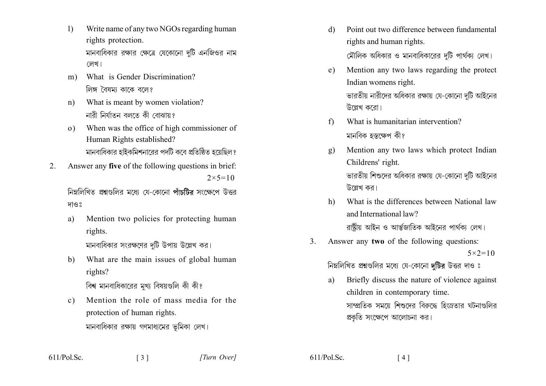- $\left| \right|$ Write name of any two NGOs regarding human rights protection. মানবাধিকার রক্ষার ক্ষেত্রে যেকোনো দুটি এনজিওর নাম লেখ।
- m) What is Gender Discrimination? লিঙ্গ বৈষমা কাকে বলে?
- What is meant by women violation?  $n)$ নাবী নিৰ্যাতন বলতে কী বোঝায়?
- When was the office of high commissioner of  $\Omega$ ) Human Rights established? মানবাধিকার হাইকমিশনারের পদটি কবে প্রতিষ্ঠিত হয়েছিল?
- Answer any five of the following questions in brief:  $2_{-}$  $2 \times 5 = 10$

নিম্নলিখিত প্রশ্নগুলির মধ্যে যে-কোনো পাঁচটির সংক্ষেপে উত্তর দাওঃ

- Mention two policies for protecting human a) rights. মানবাধিকার সংরক্ষণের দটি উপায় উল্লেখ কর।
- What are the main issues of global human b) rights?

বিশ্ব মানবাধিকারের মখ্য বিষয়গুলি কী কী?

 $\begin{array}{c} 31 \end{array}$ 

Mention the role of mass media for the  $c)$ protection of human rights. মানবাধিকার রক্ষায় গণমাধ্যমের ভূমিকা লেখ।

- Point out two difference between fundamental d) rights and human rights. মৌলিক অধিকার ও মানবাধিকারের দটি পার্থক্য লেখ।
- Mention any two laws regarding the protect  $e)$ Indian womens right. ভারতীয় নারীদের অধিকার রক্ষায় যে-কোনো দুটি আইনের উল্লেখ করো।
- What is humanitarian intervention?  $f$ মানবিক হস্তক্ষেপ কী?
- Mention any two laws which protect Indian  $\mathbf{g}$ ) Childrens' right. ভারতীয় শিশুদের অধিকার রক্ষায় যে-কোনো দুটি আইনের উল্লেখ কর।
- What is the differences between National law  $h$ ) and International law? রাষ্টীয় আইন ও আর্ন্তজাতিক আইনের পার্থকা লেখ।
- $\mathcal{L}$ Answer any two of the following questions:  $5 \times 2 = 10$

নিম্নলিখিত প্রশ্নগুলির মধ্যে যে-কোনো দটির উত্তর দাও ঃ

Briefly discuss the nature of violence against a) children in contemporary time. সাম্প্রতিক সময়ে শিশুদের বিরুদ্ধে হিংস্রতার ঘটনাগুলির প্রকৃতি সংক্ষেপে আলোচনা কর।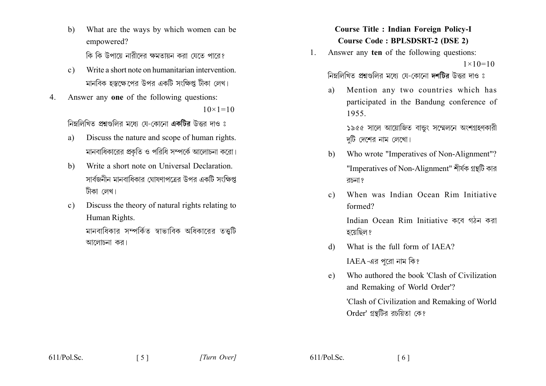- $\mathbf{b}$ What are the ways by which women can be empowered? কি কি উপায়ে নারীদের ক্ষমতায়ন করা যেতে পারে?
- Write a short note on humanitarian intervention  $c)$ মানবিক হস্তক্ষেপের উপর একটি সংক্ষিপ্ত টীকা লেখ।
- Answer any one of the following questions:  $\overline{4}$  $10 \times 1 = 10$

নিম্নলিখিত প্রশ্নগুলির মধ্যে যে-কোনো একটির উত্তর দাও ঃ

- Discuss the nature and scope of human rights. a) মানবাধিকারের প্রকৃতি ও পরিধি সম্পর্কে আলোচনা করো।
- Write a short note on Universal Declaration  $h)$ সার্বজনীন মানবাধিকার ঘোষণাপত্রের উপর একটি সংক্ষিপ্ত টীকা লেখ।
- Discuss the theory of natural rights relating to  $c)$ Human Rights.

মানবাধিকার সম্পর্কিত স্বাভাবিক অধিকারের তত্তটি আলোচনা কর।

**Course Title : Indian Foreign Policy-I Course Code: BPLSDSRT-2 (DSE 2)** 

Answer any ten of the following questions:  $\mathbf{1}$ .  $1 \times 10 = 10$ 

নিম্নলিখিত প্রশ্নগুলির মধ্যে যে-কোনো দশটির উত্তর দাও ঃ

Mention any two countries which has a) participated in the Bandung conference of 1955.

> ১৯৫৫ সালে আয়োজিত বান্ডুং সম্মেলনে অংশগ্ৰহণকারী দুটি দেশের নাম লেখো।

- Who wrote "Imperatives of Non-Alignment"?  $h$ ) "Imperatives of Non-Alignment" শীৰ্ষক গ্ৰন্থটি কার রচনা?
- When was Indian Ocean Rim Initiative  $c)$ formed?

Indian Ocean Rim Initiative কৰে গঠন কৰা হয়েছিল ?

- What is the full form of IAEA?  $\mathcal{A}$  $IAEA$ -এর পুরো নাম কি?
- Who authored the book 'Clash of Civilization  $e)$ and Remaking of World Order'?

'Clash of Civilization and Remaking of World Order' গ্রন্থটির রচয়িতা কে?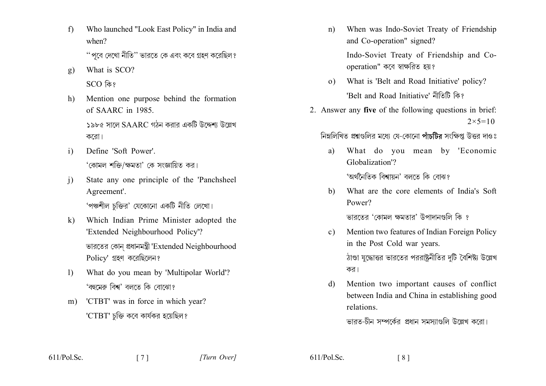$f$ Who launched "Look East Policy" in India and when?

'' পবে দেখো নীতি'' ভারতে কে এবং কবে গ্রহণ করেছিল ?

- What is SCO? g)  $SCO$  কি?
- Mention one purpose behind the formation  $h$ ) of SAARC in  $1985$

১৯৮৫ সালে  $\mathrm{SAARC}$  গঠন করার একটি উদ্দেশ্য উল্লেখ করো।

- $\mathbf{i}$ Define 'Soft Power' 'কোমল শক্তি/ক্ষমতা' কে সংজ্ঞায়িত কর।
- State any one principle of the 'Panchsheel  $\mathbf{i}$ Agreement'. 'পঞ্চশীল চক্তির' যেকোনো একটি নীতি লেখো।
- Which Indian Prime Minister adopted the  $\mathbf{k}$ 'Extended Neighbourhood Policy'? ভারতের কোন প্রধানমন্ত্রী 'Extended Neighbourhood  $Policy'$  গ্রহণ করেছিলেন?
- $\left| \right\rangle$ What do you mean by 'Multipolar World'? 'বহুমেৰু বিশ্ব' বলতে কি বোঝো?
- 'CTBT' was in force in which year?  $m$ ) 'CTBT' চক্তি কবে কার্যকর হয়েছিল?

 $\begin{bmatrix} 7 \end{bmatrix}$ 

- When was Indo-Soviet Treaty of Friendship  $n)$ and Co-operation" signed? Indo-Soviet Treaty of Friendship and Co-
- o) What is 'Belt and Road Initiative' policy? 'Belt and Road Initiative' নীতিটি কি?

operation" কবে স্বাক্ষরিত হয়?

2. Answer any five of the following questions in brief:  $2 \times 5 = 10$ 

নিম্নলিখিত প্রশ্নগুলির মধ্যে যে-কোনো পাঁচটির সংক্ষিপ্ত উত্তর দাওঃ

- What do you mean by 'Economic a) Globalization'? 'অৰ্থনৈতিক বিশ্বায়ন' বলতে কি বোঝ?
- What are the core elements of India's Soft  $h$ ) Power?

ভারতের 'কোমল ক্ষমতার' উপাদানগুলি কি ?

- Mention two features of Indian Foreign Policy  $c)$ in the Post Cold war years. ঠাণ্ডা যুদ্ধোত্তর ভারতের পররাষ্ট্রনীতির দটি বৈশিষ্ট্য উল্লেখ কর।
- Mention two important causes of conflict  $\mathcal{A}$ between India and China in establishing good relations.

ভারত-চীন সম্পর্কের প্রধান সমস্যাগুলি উল্লেখ করো।